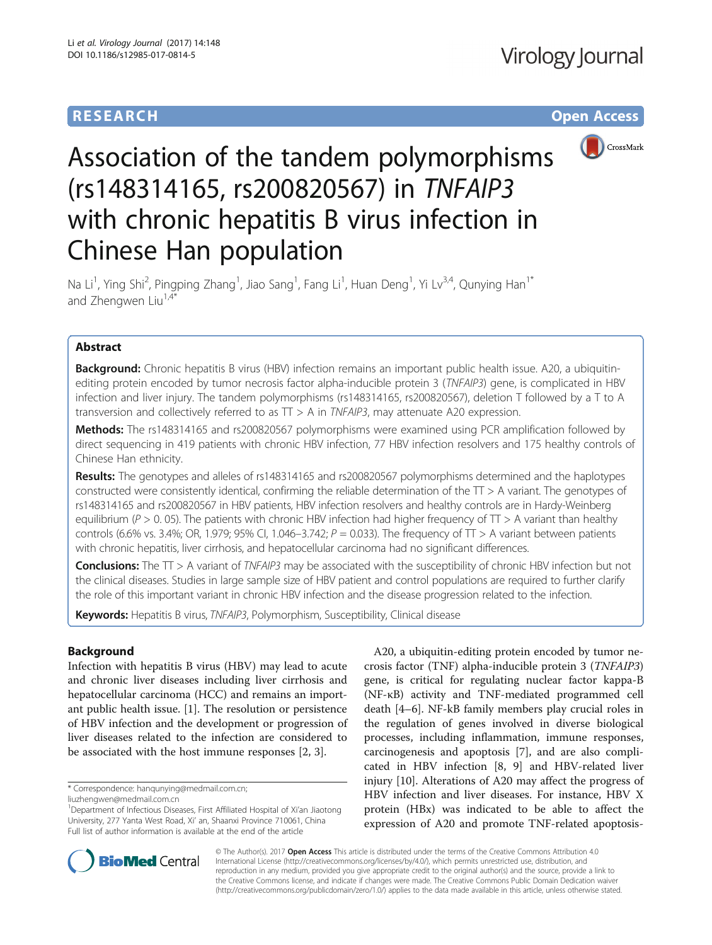# **RESEARCH CHE Open Access**



# Association of the tandem polymorphisms (rs148314165, rs200820567) in TNFAIP3 with chronic hepatitis B virus infection in Chinese Han population

Na Li<sup>1</sup>, Ying Shi<sup>2</sup>, Pingping Zhang<sup>1</sup>, Jiao Sang<sup>1</sup>, Fang Li<sup>1</sup>, Huan Deng<sup>1</sup>, Yi Lv<sup>3,4</sup>, Qunying Han<sup>1\*</sup> and Zhengwen Liu<sup>1,4\*</sup>

## Abstract

Background: Chronic hepatitis B virus (HBV) infection remains an important public health issue. A20, a ubiquitinediting protein encoded by tumor necrosis factor alpha-inducible protein 3 (TNFAIP3) gene, is complicated in HBV infection and liver injury. The tandem polymorphisms (rs148314165, rs200820567), deletion T followed by a T to A transversion and collectively referred to as  $\Pi > A$  in TNFAIP3, may attenuate A20 expression.

Methods: The rs148314165 and rs200820567 polymorphisms were examined using PCR amplification followed by direct sequencing in 419 patients with chronic HBV infection, 77 HBV infection resolvers and 175 healthy controls of Chinese Han ethnicity.

Results: The genotypes and alleles of rs148314165 and rs200820567 polymorphisms determined and the haplotypes constructed were consistently identical, confirming the reliable determination of the  $TT > A$  variant. The genotypes of rs148314165 and rs200820567 in HBV patients, HBV infection resolvers and healthy controls are in Hardy-Weinberg equilibrium ( $P > 0.05$ ). The patients with chronic HBV infection had higher frequency of  $\Pi > A$  variant than healthy controls (6.6% vs. 3.4%; OR, 1.979; 95% CI, 1.046–3.742;  $P = 0.033$ ). The frequency of  $T > A$  variant between patients with chronic hepatitis, liver cirrhosis, and hepatocellular carcinoma had no significant differences.

**Conclusions:** The  $T > A$  variant of *TNFAIP3* may be associated with the susceptibility of chronic HBV infection but not the clinical diseases. Studies in large sample size of HBV patient and control populations are required to further clarify the role of this important variant in chronic HBV infection and the disease progression related to the infection.

Keywords: Hepatitis B virus, TNFAIP3, Polymorphism, Susceptibility, Clinical disease

#### Background

Infection with hepatitis B virus (HBV) may lead to acute and chronic liver diseases including liver cirrhosis and hepatocellular carcinoma (HCC) and remains an important public health issue. [\[1\]](#page-6-0). The resolution or persistence of HBV infection and the development or progression of liver diseases related to the infection are considered to be associated with the host immune responses [\[2, 3\]](#page-6-0).

\* Correspondence: [hanqunying@medmail.com.cn;](mailto:hanqunying@medmail.com.cn)

[liuzhengwen@medmail.com.cn](mailto:liuzhengwen@medmail.com.cn)

A20, a ubiquitin-editing protein encoded by tumor necrosis factor (TNF) alpha-inducible protein 3 (TNFAIP3) gene, is critical for regulating nuclear factor kappa-B (NF-κB) activity and TNF-mediated programmed cell death [[4](#page-6-0)–[6](#page-6-0)]. NF-kB family members play crucial roles in the regulation of genes involved in diverse biological processes, including inflammation, immune responses, carcinogenesis and apoptosis [\[7](#page-6-0)], and are also complicated in HBV infection [[8](#page-6-0), [9](#page-6-0)] and HBV-related liver injury [[10\]](#page-6-0). Alterations of A20 may affect the progress of HBV infection and liver diseases. For instance, HBV X protein (HBx) was indicated to be able to affect the expression of A20 and promote TNF-related apoptosis-



© The Author(s). 2017 **Open Access** This article is distributed under the terms of the Creative Commons Attribution 4.0 International License [\(http://creativecommons.org/licenses/by/4.0/](http://creativecommons.org/licenses/by/4.0/)), which permits unrestricted use, distribution, and reproduction in any medium, provided you give appropriate credit to the original author(s) and the source, provide a link to the Creative Commons license, and indicate if changes were made. The Creative Commons Public Domain Dedication waiver [\(http://creativecommons.org/publicdomain/zero/1.0/](http://creativecommons.org/publicdomain/zero/1.0/)) applies to the data made available in this article, unless otherwise stated.

<sup>&</sup>lt;sup>1</sup>Department of Infectious Diseases, First Affiliated Hospital of Xi'an Jiaotong University, 277 Yanta West Road, Xi' an, Shaanxi Province 710061, China Full list of author information is available at the end of the article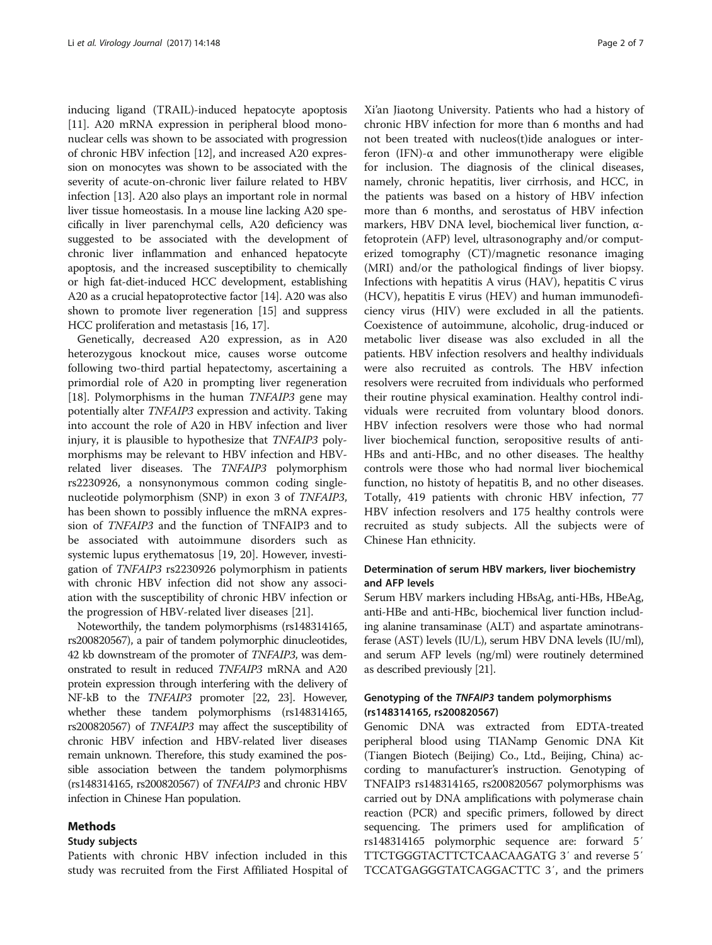inducing ligand (TRAIL)-induced hepatocyte apoptosis [[11](#page-6-0)]. A20 mRNA expression in peripheral blood mononuclear cells was shown to be associated with progression of chronic HBV infection [\[12\]](#page-6-0), and increased A20 expression on monocytes was shown to be associated with the severity of acute-on-chronic liver failure related to HBV infection [\[13\]](#page-6-0). A20 also plays an important role in normal liver tissue homeostasis. In a mouse line lacking A20 specifically in liver parenchymal cells, A20 deficiency was suggested to be associated with the development of chronic liver inflammation and enhanced hepatocyte apoptosis, and the increased susceptibility to chemically or high fat-diet-induced HCC development, establishing A20 as a crucial hepatoprotective factor [\[14\]](#page-6-0). A20 was also shown to promote liver regeneration [\[15\]](#page-6-0) and suppress HCC proliferation and metastasis [\[16, 17](#page-6-0)].

Genetically, decreased A20 expression, as in A20 heterozygous knockout mice, causes worse outcome following two-third partial hepatectomy, ascertaining a primordial role of A20 in prompting liver regeneration [[18\]](#page-6-0). Polymorphisms in the human *TNFAIP3* gene may potentially alter TNFAIP3 expression and activity. Taking into account the role of A20 in HBV infection and liver injury, it is plausible to hypothesize that TNFAIP3 polymorphisms may be relevant to HBV infection and HBVrelated liver diseases. The TNFAIP3 polymorphism rs2230926, a nonsynonymous common coding singlenucleotide polymorphism (SNP) in exon 3 of TNFAIP3, has been shown to possibly influence the mRNA expression of TNFAIP3 and the function of TNFAIP3 and to be associated with autoimmune disorders such as systemic lupus erythematosus [[19](#page-6-0), [20\]](#page-6-0). However, investigation of TNFAIP3 rs2230926 polymorphism in patients with chronic HBV infection did not show any association with the susceptibility of chronic HBV infection or the progression of HBV-related liver diseases [\[21\]](#page-6-0).

Noteworthily, the tandem polymorphisms (rs148314165, rs200820567), a pair of tandem polymorphic dinucleotides, 42 kb downstream of the promoter of TNFAIP3, was demonstrated to result in reduced TNFAIP3 mRNA and A20 protein expression through interfering with the delivery of NF-kB to the TNFAIP3 promoter [\[22, 23\]](#page-6-0). However, whether these tandem polymorphisms (rs148314165, rs200820567) of TNFAIP3 may affect the susceptibility of chronic HBV infection and HBV-related liver diseases remain unknown. Therefore, this study examined the possible association between the tandem polymorphisms (rs148314165, rs200820567) of TNFAIP3 and chronic HBV infection in Chinese Han population.

#### Methods

#### Study subjects

Patients with chronic HBV infection included in this study was recruited from the First Affiliated Hospital of

Xi'an Jiaotong University. Patients who had a history of chronic HBV infection for more than 6 months and had not been treated with nucleos(t)ide analogues or interferon (IFN)-α and other immunotherapy were eligible for inclusion. The diagnosis of the clinical diseases, namely, chronic hepatitis, liver cirrhosis, and HCC, in the patients was based on a history of HBV infection more than 6 months, and serostatus of HBV infection markers, HBV DNA level, biochemical liver function, αfetoprotein (AFP) level, ultrasonography and/or computerized tomography (CT)/magnetic resonance imaging (MRI) and/or the pathological findings of liver biopsy. Infections with hepatitis A virus (HAV), hepatitis C virus (HCV), hepatitis E virus (HEV) and human immunodeficiency virus (HIV) were excluded in all the patients. Coexistence of autoimmune, alcoholic, drug-induced or metabolic liver disease was also excluded in all the patients. HBV infection resolvers and healthy individuals were also recruited as controls. The HBV infection resolvers were recruited from individuals who performed their routine physical examination. Healthy control individuals were recruited from voluntary blood donors. HBV infection resolvers were those who had normal liver biochemical function, seropositive results of anti-HBs and anti-HBc, and no other diseases. The healthy controls were those who had normal liver biochemical function, no histoty of hepatitis B, and no other diseases. Totally, 419 patients with chronic HBV infection, 77 HBV infection resolvers and 175 healthy controls were recruited as study subjects. All the subjects were of Chinese Han ethnicity.

#### Determination of serum HBV markers, liver biochemistry and AFP levels

Serum HBV markers including HBsAg, anti-HBs, HBeAg, anti-HBe and anti-HBc, biochemical liver function including alanine transaminase (ALT) and aspartate aminotransferase (AST) levels (IU/L), serum HBV DNA levels (IU/ml), and serum AFP levels (ng/ml) were routinely determined as described previously [\[21\]](#page-6-0).

### Genotyping of the TNFAIP3 tandem polymorphisms (rs148314165, rs200820567)

Genomic DNA was extracted from EDTA-treated peripheral blood using TIANamp Genomic DNA Kit (Tiangen Biotech (Beijing) Co., Ltd., Beijing, China) according to manufacturer's instruction. Genotyping of TNFAIP3 rs148314165, rs200820567 polymorphisms was carried out by DNA amplifications with polymerase chain reaction (PCR) and specific primers, followed by direct sequencing. The primers used for amplification of rs148314165 polymorphic sequence are: forward 5′ TTCTGGGTACTTCTCAACAAGATG 3′ and reverse 5′ TCCATGAGGGTATCAGGACTTC 3′, and the primers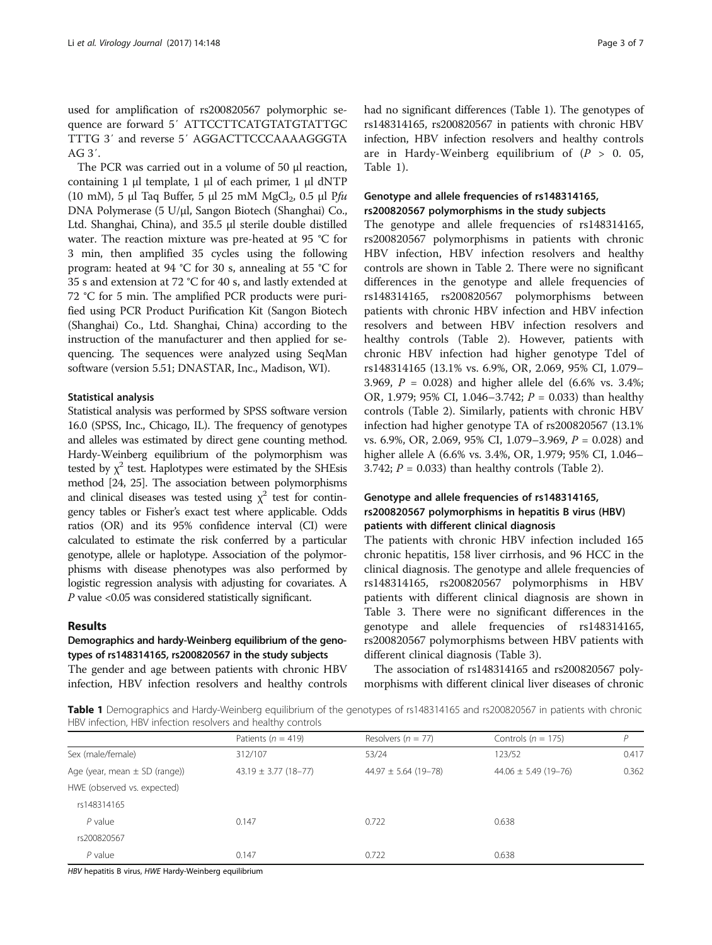used for amplification of rs200820567 polymorphic sequence are forward 5′ ATTCCTTCATGTATGTATTGC TTTG 3′ and reverse 5′ AGGACTTCCCAAAAGGGTA AG 3′.

The PCR was carried out in a volume of 50 μl reaction, containing 1 μl template, 1 μl of each primer, 1 μl dNTP (10 mM), 5 μl Taq Buffer, 5 μl 25 mM MgCl<sub>2</sub>, 0.5 μl Pfu DNA Polymerase (5 U/μl, Sangon Biotech (Shanghai) Co., Ltd. Shanghai, China), and 35.5 μl sterile double distilled water. The reaction mixture was pre-heated at 95 °C for 3 min, then amplified 35 cycles using the following program: heated at 94 °C for 30 s, annealing at 55 °C for 35 s and extension at 72 °C for 40 s, and lastly extended at 72 °C for 5 min. The amplified PCR products were purified using PCR Product Purification Kit (Sangon Biotech (Shanghai) Co., Ltd. Shanghai, China) according to the instruction of the manufacturer and then applied for sequencing. The sequences were analyzed using SeqMan software (version 5.51; DNASTAR, Inc., Madison, WI).

#### Statistical analysis

Statistical analysis was performed by SPSS software version 16.0 (SPSS, Inc., Chicago, IL). The frequency of genotypes and alleles was estimated by direct gene counting method. Hardy-Weinberg equilibrium of the polymorphism was tested by  $\chi^2$  test. Haplotypes were estimated by the SHEsis method [[24](#page-6-0), [25\]](#page-6-0). The association between polymorphisms and clinical diseases was tested using  $\chi^2$  test for contingency tables or Fisher's exact test where applicable. Odds ratios (OR) and its 95% confidence interval (CI) were calculated to estimate the risk conferred by a particular genotype, allele or haplotype. Association of the polymorphisms with disease phenotypes was also performed by logistic regression analysis with adjusting for covariates. A P value <0.05 was considered statistically significant.

#### Results

#### Demographics and hardy-Weinberg equilibrium of the genotypes of rs148314165, rs200820567 in the study subjects

The gender and age between patients with chronic HBV infection, HBV infection resolvers and healthy controls had no significant differences (Table 1). The genotypes of rs148314165, rs200820567 in patients with chronic HBV infection, HBV infection resolvers and healthy controls are in Hardy-Weinberg equilibrium of  $(P > 0.05,$ Table 1).

#### Genotype and allele frequencies of rs148314165, rs200820567 polymorphisms in the study subjects

The genotype and allele frequencies of rs148314165, rs200820567 polymorphisms in patients with chronic HBV infection, HBV infection resolvers and healthy controls are shown in Table [2.](#page-3-0) There were no significant differences in the genotype and allele frequencies of rs148314165, rs200820567 polymorphisms between patients with chronic HBV infection and HBV infection resolvers and between HBV infection resolvers and healthy controls (Table [2](#page-3-0)). However, patients with chronic HBV infection had higher genotype Tdel of rs148314165 (13.1% vs. 6.9%, OR, 2.069, 95% CI, 1.079– 3.969,  $P = 0.028$ ) and higher allele del (6.6% vs. 3.4%; OR, 1.979; 95% CI, 1.046-3.742;  $P = 0.033$ ) than healthy controls (Table [2\)](#page-3-0). Similarly, patients with chronic HBV infection had higher genotype TA of rs200820567 (13.1% vs. 6.9%, OR, 2.069, 95% CI, 1.079–3.969, P = 0.028) and higher allele A (6.6% vs. 3.4%, OR, 1.979; 95% CI, 1.046– 3.742;  $P = 0.033$ ) than healthy controls (Table [2\)](#page-3-0).

#### Genotype and allele frequencies of rs148314165, rs200820567 polymorphisms in hepatitis B virus (HBV) patients with different clinical diagnosis

The patients with chronic HBV infection included 165 chronic hepatitis, 158 liver cirrhosis, and 96 HCC in the clinical diagnosis. The genotype and allele frequencies of rs148314165, rs200820567 polymorphisms in HBV patients with different clinical diagnosis are shown in Table [3](#page-3-0). There were no significant differences in the genotype and allele frequencies of rs148314165, rs200820567 polymorphisms between HBV patients with different clinical diagnosis (Table [3\)](#page-3-0).

The association of rs148314165 and rs200820567 polymorphisms with different clinical liver diseases of chronic

Table 1 Demographics and Hardy-Weinberg equilibrium of the genotypes of rs148314165 and rs200820567 in patients with chronic HBV infection, HBV infection resolvers and healthy controls

|                                   | Patients ( $n = 419$ )   | Resolvers ( $n = 77$ )   | Controls ( $n = 175$ )   | D<br>0.417 |  |  |  |  |  |  |
|-----------------------------------|--------------------------|--------------------------|--------------------------|------------|--|--|--|--|--|--|
| Sex (male/female)                 | 312/107                  | 53/24                    | 123/52                   |            |  |  |  |  |  |  |
| Age (year, mean $\pm$ SD (range)) | $43.19 \pm 3.77$ (18-77) | $44.97 \pm 5.64$ (19-78) | $44.06 \pm 5.49$ (19-76) | 0.362      |  |  |  |  |  |  |
| HWE (observed vs. expected)       |                          |                          |                          |            |  |  |  |  |  |  |
| rs148314165                       |                          |                          |                          |            |  |  |  |  |  |  |
| $P$ value                         | 0.147                    |                          | 0.638                    |            |  |  |  |  |  |  |
| rs200820567                       |                          |                          |                          |            |  |  |  |  |  |  |
| $P$ value                         | 0.147                    | 0.722                    | 0.638                    |            |  |  |  |  |  |  |

HBV hepatitis B virus, HWE Hardy-Weinberg equilibrium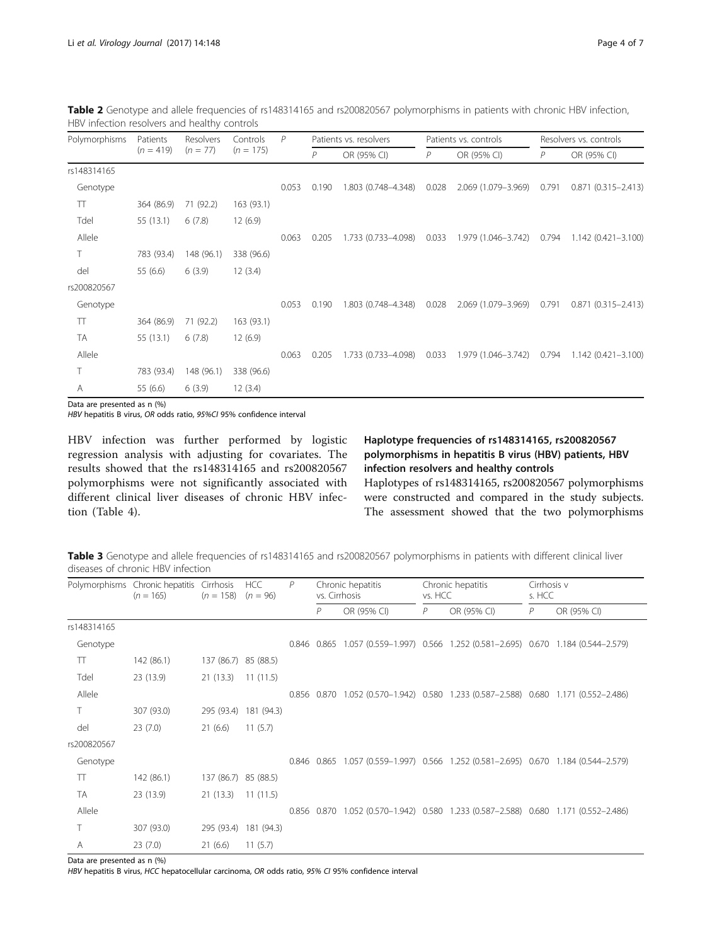| Polymorphisms | Patients    | Resolvers<br>$(n = 77)$ | Controls<br>$(n = 175)$ | P     |       | Patients vs. resolvers |       | Patients vs. controls     | Resolvers vs. controls |                        |  |
|---------------|-------------|-------------------------|-------------------------|-------|-------|------------------------|-------|---------------------------|------------------------|------------------------|--|
|               | $(n = 419)$ |                         |                         |       | P     | OR (95% CI)            | P     | OR (95% CI)               | P                      | OR (95% CI)            |  |
| rs148314165   |             |                         |                         |       |       |                        |       |                           |                        |                        |  |
| Genotype      |             |                         |                         | 0.053 | 0.190 | 1.803 (0.748-4.348)    | 0.028 | 2.069 (1.079-3.969)       | 0.791                  | $0.871(0.315 - 2.413)$ |  |
| π             | 364 (86.9)  | 71 (92.2)               | 163 (93.1)              |       |       |                        |       |                           |                        |                        |  |
| Tdel          | 55 (13.1)   | 6(7.8)                  | 12(6.9)                 |       |       |                        |       |                           |                        |                        |  |
| Allele        |             |                         |                         | 0.063 | 0.205 | 1.733 (0.733-4.098)    | 0.033 | 1.979 (1.046–3.742)       | 0.794                  | $1.142(0.421 - 3.100)$ |  |
|               | 783 (93.4)  | 148 (96.1)              | 338 (96.6)              |       |       |                        |       |                           |                        |                        |  |
| del           | 55 (6.6)    | 6(3.9)                  | 12(3.4)                 |       |       |                        |       |                           |                        |                        |  |
| rs200820567   |             |                         |                         |       |       |                        |       |                           |                        |                        |  |
| Genotype      |             |                         |                         | 0.053 | 0.190 | 1.803 (0.748-4.348)    | 0.028 | 2.069 (1.079-3.969) 0.791 |                        | $0.871(0.315 - 2.413)$ |  |
| TT            | 364 (86.9)  | 71 (92.2)               | 163 (93.1)              |       |       |                        |       |                           |                        |                        |  |
| <b>TA</b>     | 55(13.1)    | 6(7.8)                  | 12(6.9)                 |       |       |                        |       |                           |                        |                        |  |
| Allele        |             |                         |                         | 0.063 | 0.205 | 1.733 (0.733-4.098)    | 0.033 | 1.979 (1.046-3.742)       | 0.794                  | $1.142(0.421 - 3.100)$ |  |
|               | 783 (93.4)  | 148 (96.1)              | 338 (96.6)              |       |       |                        |       |                           |                        |                        |  |
| Α             | 55 (6.6)    | 6(3.9)                  | 12(3.4)                 |       |       |                        |       |                           |                        |                        |  |

<span id="page-3-0"></span>Table 2 Genotype and allele frequencies of rs148314165 and rs200820567 polymorphisms in patients with chronic HBV infection, HBV infection resolvers and healthy controls

Data are presented as n (%)

HBV hepatitis B virus, OR odds ratio, 95%CI 95% confidence interval

HBV infection was further performed by logistic regression analysis with adjusting for covariates. The results showed that the rs148314165 and rs200820567 polymorphisms were not significantly associated with different clinical liver diseases of chronic HBV infection (Table [4](#page-4-0)).

### Haplotype frequencies of rs148314165, rs200820567 polymorphisms in hepatitis B virus (HBV) patients, HBV infection resolvers and healthy controls

Haplotypes of rs148314165, rs200820567 polymorphisms were constructed and compared in the study subjects. The assessment showed that the two polymorphisms

Table 3 Genotype and allele frequencies of rs148314165 and rs200820567 polymorphisms in patients with different clinical liver diseases of chronic HBV infection

| Polymorphisms | Chronic hepatitis<br>$(n = 165)$ | Cirrhosis<br>$(n = 158)$ | <b>HCC</b><br>$(n = 96)$ | P                | Chronic hepatitis<br>vs. Cirrhosis |                                                                                     | vs. HCC     | Chronic hepatitis | Cirrhosis v<br>s. HCC |  |
|---------------|----------------------------------|--------------------------|--------------------------|------------------|------------------------------------|-------------------------------------------------------------------------------------|-------------|-------------------|-----------------------|--|
|               | OR (95% CI)<br>P                 |                          |                          | P<br>OR (95% CI) |                                    | P                                                                                   | OR (95% CI) |                   |                       |  |
| rs148314165   |                                  |                          |                          |                  |                                    |                                                                                     |             |                   |                       |  |
| Genotype      |                                  |                          |                          |                  |                                    | 0.846 0.865 1.057 (0.559-1.997) 0.566 1.252 (0.581-2.695) 0.670 1.184 (0.544-2.579) |             |                   |                       |  |
| π             | 142 (86.1)                       | 137 (86.7) 85 (88.5)     |                          |                  |                                    |                                                                                     |             |                   |                       |  |
| Tdel          | 23 (13.9)                        | 21(13.3)                 | 11(11.5)                 |                  |                                    |                                                                                     |             |                   |                       |  |
| Allele        |                                  |                          |                          |                  |                                    | 0.856 0.870 1.052 (0.570-1.942) 0.580 1.233 (0.587-2.588) 0.680 1.171 (0.552-2.486) |             |                   |                       |  |
| T.            | 307 (93.0)                       | 295 (93.4)               | 181 (94.3)               |                  |                                    |                                                                                     |             |                   |                       |  |
| del           | 23(7.0)                          | 21(6.6)                  | 11(5.7)                  |                  |                                    |                                                                                     |             |                   |                       |  |
| rs200820567   |                                  |                          |                          |                  |                                    |                                                                                     |             |                   |                       |  |
| Genotype      |                                  |                          |                          |                  |                                    | 0.846 0.865 1.057 (0.559-1.997) 0.566 1.252 (0.581-2.695) 0.670 1.184 (0.544-2.579) |             |                   |                       |  |
| $\top$        | 142 (86.1)                       | 137 (86.7) 85 (88.5)     |                          |                  |                                    |                                                                                     |             |                   |                       |  |
| <b>TA</b>     | 23 (13.9)                        | 21(13.3)                 | 11(11.5)                 |                  |                                    |                                                                                     |             |                   |                       |  |
| Allele        |                                  |                          |                          |                  |                                    | 0.856 0.870 1.052 (0.570-1.942) 0.580 1.233 (0.587-2.588) 0.680 1.171 (0.552-2.486) |             |                   |                       |  |
|               | 307 (93.0)                       |                          | 295 (93.4) 181 (94.3)    |                  |                                    |                                                                                     |             |                   |                       |  |
| A             | 23(7.0)                          | 21(6.6)                  | 11(5.7)                  |                  |                                    |                                                                                     |             |                   |                       |  |

Data are presented as n (%)

HBV hepatitis B virus, HCC hepatocellular carcinoma, OR odds ratio, 95% CI 95% confidence interval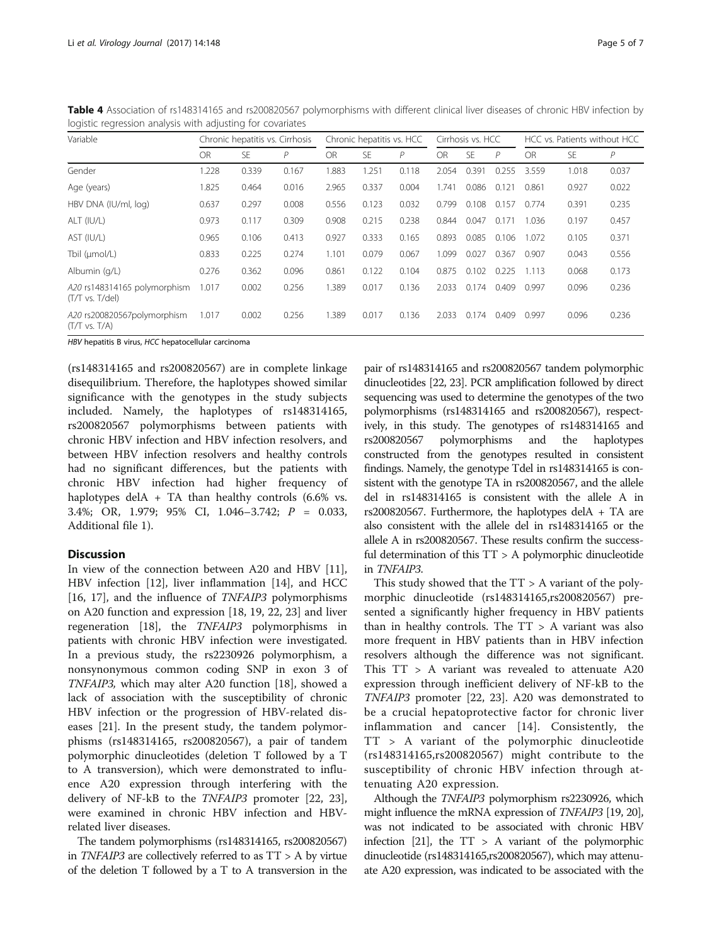| <u>iogistic regressioni analysis with aujusting for covariates</u> |                                 |           |       |                           |           |       |                   |           |       |                              |           |       |
|--------------------------------------------------------------------|---------------------------------|-----------|-------|---------------------------|-----------|-------|-------------------|-----------|-------|------------------------------|-----------|-------|
| Variable                                                           | Chronic hepatitis vs. Cirrhosis |           |       | Chronic hepatitis vs. HCC |           |       | Cirrhosis vs. HCC |           |       | HCC vs. Patients without HCC |           |       |
|                                                                    | <b>OR</b>                       | <b>SE</b> | P     | <b>OR</b>                 | <b>SE</b> | P     | <b>OR</b>         | <b>SE</b> | Р     | OR                           | <b>SE</b> | P     |
| Gender                                                             | 1.228                           | 0.339     | 0.167 | 1.883                     | 1.251     | 0.118 | 2.054             | 0.391     | 0.255 | 3.559                        | 1.018     | 0.037 |
| Age (years)                                                        | 1.825                           | 0.464     | 0.016 | 2.965                     | 0.337     | 0.004 | 1.741             | 0.086     | 0.121 | 0.861                        | 0.927     | 0.022 |
| HBV DNA (IU/ml, log)                                               | 0.637                           | 0.297     | 0.008 | 0.556                     | 0.123     | 0.032 | 0.799             | 0.108     | 0.157 | 0.774                        | 0.391     | 0.235 |
| ALT (IU/L)                                                         | 0.973                           | 0.117     | 0.309 | 0.908                     | 0.215     | 0.238 | 0.844             | 0.047     | 0.171 | 1.036                        | 0.197     | 0.457 |
| AST (IU/L)                                                         | 0.965                           | 0.106     | 0.413 | 0.927                     | 0.333     | 0.165 | 0.893             | 0.085     | 0.106 | 1.072                        | 0.105     | 0.371 |
| Tbil (µmol/L)                                                      | 0.833                           | 0.225     | 0.274 | 1.101                     | 0.079     | 0.067 | 1.099             | 0.027     | 0.367 | 0.907                        | 0.043     | 0.556 |
| Albumin (g/L)                                                      | 0.276                           | 0.362     | 0.096 | 0.861                     | 0.122     | 0.104 | 0.875             | 0.102     | 0.225 | 1.113                        | 0.068     | 0.173 |
| A20 rs148314165 polymorphism<br>(T/T vs. T/del)                    | 1.017                           | 0.002     | 0.256 | 1.389                     | 0.017     | 0.136 | 2.033             | 0.174     | 0.409 | 0.997                        | 0.096     | 0.236 |
| A20 rs200820567polymorphism<br>$(T/T \text{ vs. } T/A)$            | 1.017                           | 0.002     | 0.256 | 1.389                     | 0.017     | 0.136 | 2.033             | 0.174     | 0.409 | 0.997                        | 0.096     | 0.236 |

<span id="page-4-0"></span>Table 4 Association of rs148314165 and rs200820567 polymorphisms with different clinical liver diseases of chronic HBV infection by logistic regression analysis with adjusting for covariates

HBV hepatitis B virus, HCC hepatocellular carcinoma

(rs148314165 and rs200820567) are in complete linkage disequilibrium. Therefore, the haplotypes showed similar significance with the genotypes in the study subjects included. Namely, the haplotypes of rs148314165, rs200820567 polymorphisms between patients with chronic HBV infection and HBV infection resolvers, and between HBV infection resolvers and healthy controls had no significant differences, but the patients with chronic HBV infection had higher frequency of haplotypes delA + TA than healthy controls  $(6.6\%$  vs. 3.4%; OR, 1.979; 95% CI, 1.046–3.742; P = 0.033, Additional file [1\)](#page-5-0).

#### **Discussion**

In view of the connection between A20 and HBV [\[11](#page-6-0)], HBV infection [\[12](#page-6-0)], liver inflammation [\[14\]](#page-6-0), and HCC [[16, 17\]](#page-6-0), and the influence of *TNFAIP3* polymorphisms on A20 function and expression [\[18](#page-6-0), [19, 22, 23\]](#page-6-0) and liver regeneration [[18](#page-6-0)], the TNFAIP3 polymorphisms in patients with chronic HBV infection were investigated. In a previous study, the rs2230926 polymorphism, a nonsynonymous common coding SNP in exon 3 of TNFAIP3, which may alter A20 function [\[18\]](#page-6-0), showed a lack of association with the susceptibility of chronic HBV infection or the progression of HBV-related diseases [\[21](#page-6-0)]. In the present study, the tandem polymorphisms (rs148314165, rs200820567), a pair of tandem polymorphic dinucleotides (deletion T followed by a T to A transversion), which were demonstrated to influence A20 expression through interfering with the delivery of NF-kB to the TNFAIP3 promoter [[22](#page-6-0), [23](#page-6-0)], were examined in chronic HBV infection and HBVrelated liver diseases.

The tandem polymorphisms (rs148314165, rs200820567) in *TNFAIP3* are collectively referred to as  $TT > A$  by virtue of the deletion T followed by a T to A transversion in the

pair of rs148314165 and rs200820567 tandem polymorphic dinucleotides [\[22, 23\]](#page-6-0). PCR amplification followed by direct sequencing was used to determine the genotypes of the two polymorphisms (rs148314165 and rs200820567), respectively, in this study. The genotypes of rs148314165 and rs200820567 polymorphisms and the haplotypes constructed from the genotypes resulted in consistent findings. Namely, the genotype Tdel in rs148314165 is consistent with the genotype TA in rs200820567, and the allele del in rs148314165 is consistent with the allele A in rs200820567. Furthermore, the haplotypes delA  $+$  TA are also consistent with the allele del in rs148314165 or the allele A in rs200820567. These results confirm the successful determination of this TT > A polymorphic dinucleotide in TNFAIP3.

This study showed that the  $TT > A$  variant of the polymorphic dinucleotide (rs148314165,rs200820567) presented a significantly higher frequency in HBV patients than in healthy controls. The  $TT > A$  variant was also more frequent in HBV patients than in HBV infection resolvers although the difference was not significant. This TT > A variant was revealed to attenuate A20 expression through inefficient delivery of NF-kB to the TNFAIP3 promoter [[22](#page-6-0), [23\]](#page-6-0). A20 was demonstrated to be a crucial hepatoprotective factor for chronic liver inflammation and cancer [[14](#page-6-0)]. Consistently, the TT > A variant of the polymorphic dinucleotide (rs148314165,rs200820567) might contribute to the susceptibility of chronic HBV infection through attenuating A20 expression.

Although the TNFAIP3 polymorphism rs2230926, which might influence the mRNA expression of TNFAIP3 [\[19](#page-6-0), [20](#page-6-0)], was not indicated to be associated with chronic HBV infection [\[21\]](#page-6-0), the  $TT > A$  variant of the polymorphic dinucleotide (rs148314165,rs200820567), which may attenuate A20 expression, was indicated to be associated with the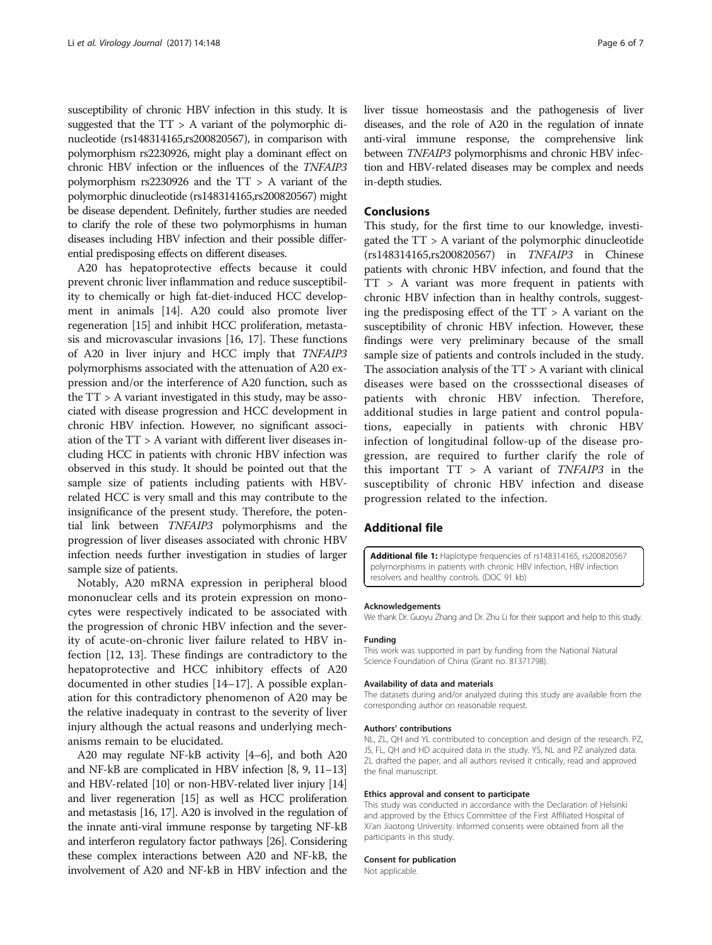<span id="page-5-0"></span>susceptibility of chronic HBV infection in this study. It is suggested that the TT > A variant of the polymorphic dinucleotide (rs148314165,rs200820567), in comparison with polymorphism rs2230926, might play a dominant effect on chronic HBV infection or the influences of the TNFAIP3 polymorphism rs2230926 and the TT > A variant of the polymorphic dinucleotide (rs148314165,rs200820567) might be disease dependent. Definitely, further studies are needed to clarify the role of these two polymorphisms in human diseases including HBV infection and their possible differential predisposing effects on different diseases.

A20 has hepatoprotective effects because it could prevent chronic liver inflammation and reduce susceptibility to chemically or high fat-diet-induced HCC development in animals [\[14\]](#page-6-0). A20 could also promote liver regeneration [\[15](#page-6-0)] and inhibit HCC proliferation, metastasis and microvascular invasions [[16](#page-6-0), [17\]](#page-6-0). These functions of A20 in liver injury and HCC imply that TNFAIP3 polymorphisms associated with the attenuation of A20 expression and/or the interference of A20 function, such as the TT > A variant investigated in this study, may be associated with disease progression and HCC development in chronic HBV infection. However, no significant association of the TT > A variant with different liver diseases including HCC in patients with chronic HBV infection was observed in this study. It should be pointed out that the sample size of patients including patients with HBVrelated HCC is very small and this may contribute to the insignificance of the present study. Therefore, the potential link between TNFAIP3 polymorphisms and the progression of liver diseases associated with chronic HBV infection needs further investigation in studies of larger sample size of patients.

Notably, A20 mRNA expression in peripheral blood mononuclear cells and its protein expression on monocytes were respectively indicated to be associated with the progression of chronic HBV infection and the severity of acute-on-chronic liver failure related to HBV infection [[12](#page-6-0), [13](#page-6-0)]. These findings are contradictory to the hepatoprotective and HCC inhibitory effects of A20 documented in other studies [[14](#page-6-0)–[17](#page-6-0)]. A possible explanation for this contradictory phenomenon of A20 may be the relative inadequaty in contrast to the severity of liver injury although the actual reasons and underlying mechanisms remain to be elucidated.

A20 may regulate NF-kB activity [\[4](#page-6-0)–[6](#page-6-0)], and both A20 and NF-kB are complicated in HBV infection [\[8, 9, 11](#page-6-0)–[13](#page-6-0)] and HBV-related [\[10](#page-6-0)] or non-HBV-related liver injury [\[14](#page-6-0)] and liver regeneration [\[15\]](#page-6-0) as well as HCC proliferation and metastasis [\[16](#page-6-0), [17](#page-6-0)]. A20 is involved in the regulation of the innate anti-viral immune response by targeting NF-kB and interferon regulatory factor pathways [[26](#page-6-0)]. Considering these complex interactions between A20 and NF-kB, the involvement of A20 and NF-kB in HBV infection and the

liver tissue homeostasis and the pathogenesis of liver diseases, and the role of A20 in the regulation of innate anti-viral immune response, the comprehensive link between TNFAIP3 polymorphisms and chronic HBV infection and HBV-related diseases may be complex and needs in-depth studies.

#### Conclusions

This study, for the first time to our knowledge, investigated the TT > A variant of the polymorphic dinucleotide (rs148314165,rs200820567) in TNFAIP3 in Chinese patients with chronic HBV infection, and found that the TT > A variant was more frequent in patients with chronic HBV infection than in healthy controls, suggesting the predisposing effect of the TT > A variant on the susceptibility of chronic HBV infection. However, these findings were very preliminary because of the small sample size of patients and controls included in the study. The association analysis of the  $TT > A$  variant with clinical diseases were based on the crosssectional diseases of patients with chronic HBV infection. Therefore, additional studies in large patient and control populations, eapecially in patients with chronic HBV infection of longitudinal follow-up of the disease progression, are required to further clarify the role of this important TT > A variant of TNFAIP3 in the susceptibility of chronic HBV infection and disease progression related to the infection.

#### Additional file

[Additional file 1:](dx.doi.org/10.1186/s12985-017-0814-5) Haplotype frequencies of rs148314165, rs200820567 polymorphisms in patients with chronic HBV infection, HBV infection resolvers and healthy controls. (DOC 91 kb)

#### Acknowledgements

We thank Dr. Guoyu Zhang and Dr. Zhu Li for their support and help to this study.

#### Funding

This work was supported in part by funding from the National Natural Science Foundation of China (Grant no. 81371798).

#### Availability of data and materials

The datasets during and/or analyzed during this study are available from the corresponding author on reasonable request.

#### Authors' contributions

NL, ZL, QH and YL contributed to conception and design of the research. PZ, JS, FL, QH and HD acquired data in the study. YS, NL and PZ analyzed data. ZL drafted the paper, and all authors revised it critically, read and approved the final manuscript.

#### Ethics approval and consent to participate

This study was conducted in accordance with the Declaration of Helsinki and approved by the Ethics Committee of the First Affiliated Hospital of Xi'an Jiaotong University. Informed consents were obtained from all the participants in this study.

#### Consent for publication

Not applicable.